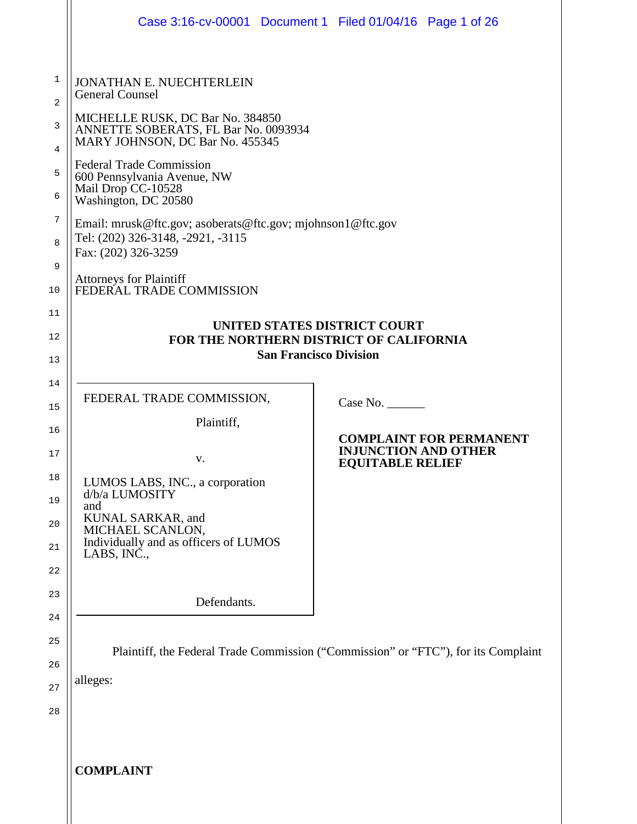|                                                       | Case 3:16-cv-00001 Document 1 Filed 01/04/16 Page 1 of 26                                                                                                                                                                                                                                                                                                                                                                                                                                                 |                                                                    |                                |
|-------------------------------------------------------|-----------------------------------------------------------------------------------------------------------------------------------------------------------------------------------------------------------------------------------------------------------------------------------------------------------------------------------------------------------------------------------------------------------------------------------------------------------------------------------------------------------|--------------------------------------------------------------------|--------------------------------|
| 1<br>2<br>3<br>4<br>5<br>6<br>7<br>8<br>9<br>10<br>11 | <b>JONATHAN E. NUECHTERLEIN</b><br><b>General Counsel</b><br>MICHELLE RUSK, DC Bar No. 384850<br>ANNETTE SOBERATS, FL Bar No. 0093934<br>MARY JOHNSON, DC Bar No. 455345<br><b>Federal Trade Commission</b><br>600 Pennsylvania Avenue, NW<br>Mail Drop CC-10528<br>Washington, DC 20580<br>Email: mrusk@ftc.gov; asoberats@ftc.gov; mjohnson1@ftc.gov<br>Tel: (202) 326-3148, -2921, -3115<br>Fax: (202) 326-3259<br>Attorneys for Plaintiff<br>FEDERAL TRADE COMMISSION<br>UNITED STATES DISTRICT COURT |                                                                    |                                |
| 12<br>13                                              | FOR THE NORTHERN DISTRICT OF CALIFORNIA<br><b>San Francisco Division</b>                                                                                                                                                                                                                                                                                                                                                                                                                                  |                                                                    |                                |
| 14<br>15<br>16<br>17<br>18<br>19<br>20<br>21          | FEDERAL TRADE COMMISSION,<br>Plaintiff,<br>V.<br>LUMOS LABS, INC., a corporation<br>d/b/a LUMOSITY<br>and<br>KUNAL SARKAR, and<br>MICHAEL SCANLON,<br>Individually and as officers of LUMOS<br>LABS, INC.,                                                                                                                                                                                                                                                                                                | Case No.<br><b>INJUNCTION AND OTHER</b><br><b>EQUITABLE RELIEF</b> | <b>COMPLAINT FOR PERMANENT</b> |
| 22<br>23<br>24<br>25<br>26                            | Defendants.<br>Plaintiff, the Federal Trade Commission ("Commission" or "FTC"), for its Complaint                                                                                                                                                                                                                                                                                                                                                                                                         |                                                                    |                                |
| 27<br>28                                              | alleges:<br><b>COMPLAINT</b>                                                                                                                                                                                                                                                                                                                                                                                                                                                                              |                                                                    |                                |
|                                                       |                                                                                                                                                                                                                                                                                                                                                                                                                                                                                                           |                                                                    |                                |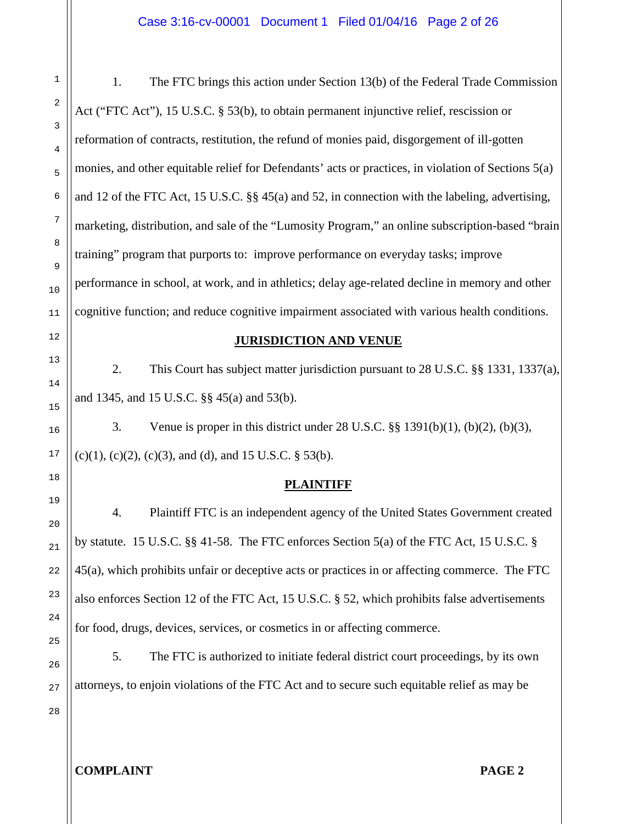1. The FTC brings this action under Section 13(b) of the Federal Trade Commission Act ("FTC Act"), 15 U.S.C. § 53(b), to obtain permanent injunctive relief, rescission or reformation of contracts, restitution, the refund of monies paid, disgorgement of ill-gotten monies, and other equitable relief for Defendants' acts or practices, in violation of Sections 5(a) and 12 of the FTC Act, 15 U.S.C. §§ 45(a) and 52, in connection with the labeling, advertising, marketing, distribution, and sale of the "Lumosity Program," an online subscription-based "brain training" program that purports to: improve performance on everyday tasks; improve performance in school, at work, and in athletics; delay age-related decline in memory and other cognitive function; and reduce cognitive impairment associated with various health conditions.

#### **JURISDICTION AND VENUE**

2. This Court has subject matter jurisdiction pursuant to 28 U.S.C. §§ 1331, 1337(a), and 1345, and 15 U.S.C. §§ 45(a) and 53(b).

3. Venue is proper in this district under 28 U.S.C. §§ 1391(b)(1), (b)(2), (b)(3),  $(c)(1)$ ,  $(c)(2)$ ,  $(c)(3)$ , and  $(d)$ , and 15 U.S.C. § 53(b).

## **PLAINTIFF**

4. Plaintiff FTC is an independent agency of the United States Government created by statute. 15 U.S.C. §§ 41-58. The FTC enforces Section 5(a) of the FTC Act, 15 U.S.C. § 45(a), which prohibits unfair or deceptive acts or practices in or affecting commerce. The FTC also enforces Section 12 of the FTC Act, 15 U.S.C. § 52, which prohibits false advertisements for food, drugs, devices, services, or cosmetics in or affecting commerce.

5. The FTC is authorized to initiate federal district court proceedings, by its own attorneys, to enjoin violations of the FTC Act and to secure such equitable relief as may be

26 27 28

1

2

3

4

5

6

7

8

9

10

11

12

13

14

15

16

17

18

19

20

21

22

23

24

25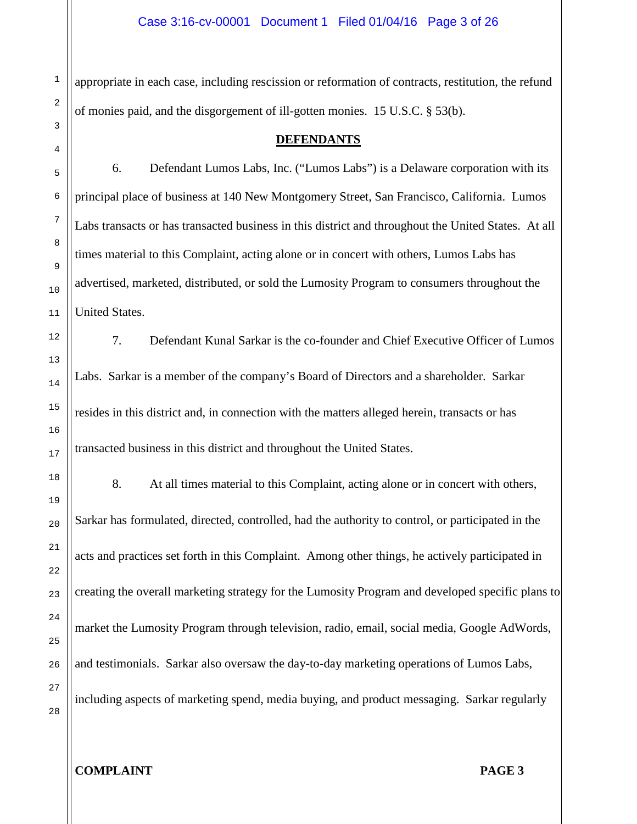appropriate in each case, including rescission or reformation of contracts, restitution, the refund of monies paid, and the disgorgement of ill-gotten monies. 15 U.S.C. § 53(b).

**DEFENDANTS**

6. Defendant Lumos Labs, Inc. ("Lumos Labs") is a Delaware corporation with its principal place of business at 140 New Montgomery Street, San Francisco, California. Lumos Labs transacts or has transacted business in this district and throughout the United States. At all times material to this Complaint, acting alone or in concert with others, Lumos Labs has advertised, marketed, distributed, or sold the Lumosity Program to consumers throughout the United States.

7. Defendant Kunal Sarkar is the co-founder and Chief Executive Officer of Lumos Labs. Sarkar is a member of the company's Board of Directors and a shareholder. Sarkar resides in this district and, in connection with the matters alleged herein, transacts or has transacted business in this district and throughout the United States.

8. At all times material to this Complaint, acting alone or in concert with others, Sarkar has formulated, directed, controlled, had the authority to control, or participated in the acts and practices set forth in this Complaint. Among other things, he actively participated in creating the overall marketing strategy for the Lumosity Program and developed specific plans to market the Lumosity Program through television, radio, email, social media, Google AdWords, and testimonials. Sarkar also oversaw the day-to-day marketing operations of Lumos Labs, including aspects of marketing spend, media buying, and product messaging. Sarkar regularly

1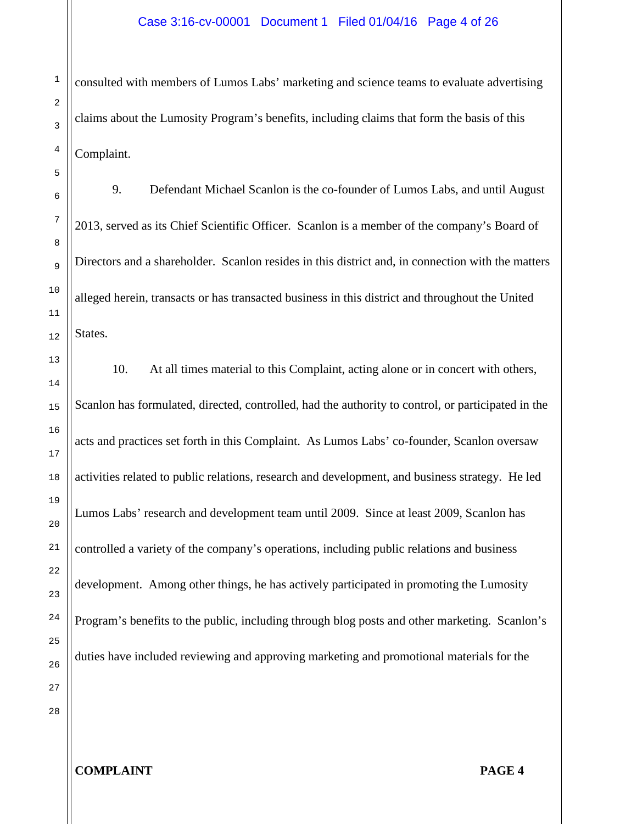consulted with members of Lumos Labs' marketing and science teams to evaluate advertising claims about the Lumosity Program's benefits, including claims that form the basis of this Complaint.

9. Defendant Michael Scanlon is the co-founder of Lumos Labs, and until August 2013, served as its Chief Scientific Officer. Scanlon is a member of the company's Board of Directors and a shareholder. Scanlon resides in this district and, in connection with the matters alleged herein, transacts or has transacted business in this district and throughout the United States.

10. At all times material to this Complaint, acting alone or in concert with others, Scanlon has formulated, directed, controlled, had the authority to control, or participated in the acts and practices set forth in this Complaint. As Lumos Labs' co-founder, Scanlon oversaw activities related to public relations, research and development, and business strategy. He led Lumos Labs' research and development team until 2009. Since at least 2009, Scanlon has controlled a variety of the company's operations, including public relations and business development. Among other things, he has actively participated in promoting the Lumosity Program's benefits to the public, including through blog posts and other marketing. Scanlon's duties have included reviewing and approving marketing and promotional materials for the

28

1

2

3

4

5

6

7

8

9

10

11

12

13

14

15

16

17

18

19

20

21

22

23

24

25

26

27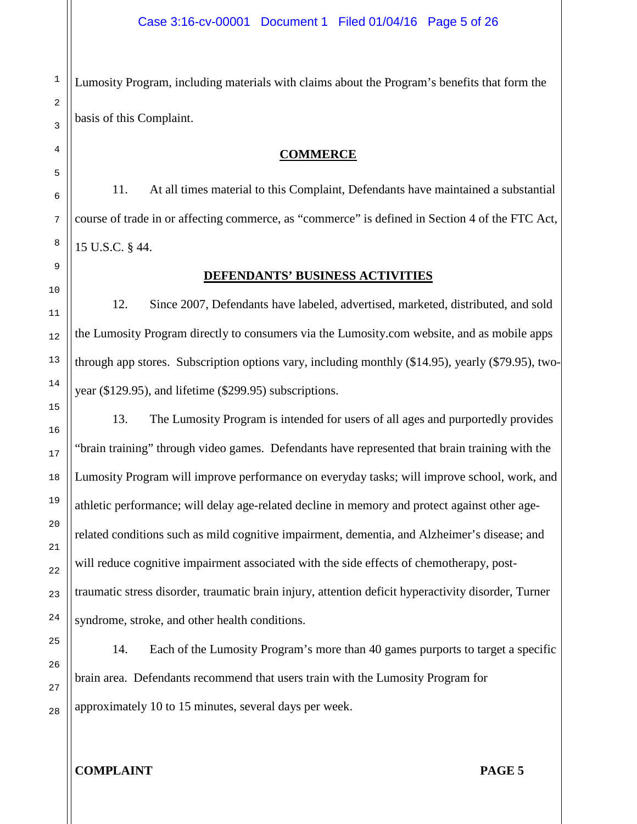Lumosity Program, including materials with claims about the Program's benefits that form the basis of this Complaint.

## **COMMERCE**

11. At all times material to this Complaint, Defendants have maintained a substantial course of trade in or affecting commerce, as "commerce" is defined in Section 4 of the FTC Act, 15 U.S.C. § 44.

## **DEFENDANTS' BUSINESS ACTIVITIES**

12. Since 2007, Defendants have labeled, advertised, marketed, distributed, and sold the Lumosity Program directly to consumers via the Lumosity.com website, and as mobile apps through app stores. Subscription options vary, including monthly (\$14.95), yearly (\$79.95), twoyear (\$129.95), and lifetime (\$299.95) subscriptions.

13. The Lumosity Program is intended for users of all ages and purportedly provides "brain training" through video games. Defendants have represented that brain training with the Lumosity Program will improve performance on everyday tasks; will improve school, work, and athletic performance; will delay age-related decline in memory and protect against other agerelated conditions such as mild cognitive impairment, dementia, and Alzheimer's disease; and will reduce cognitive impairment associated with the side effects of chemotherapy, posttraumatic stress disorder, traumatic brain injury, attention deficit hyperactivity disorder, Turner syndrome, stroke, and other health conditions.

14. Each of the Lumosity Program's more than 40 games purports to target a specific brain area. Defendants recommend that users train with the Lumosity Program for approximately 10 to 15 minutes, several days per week.

1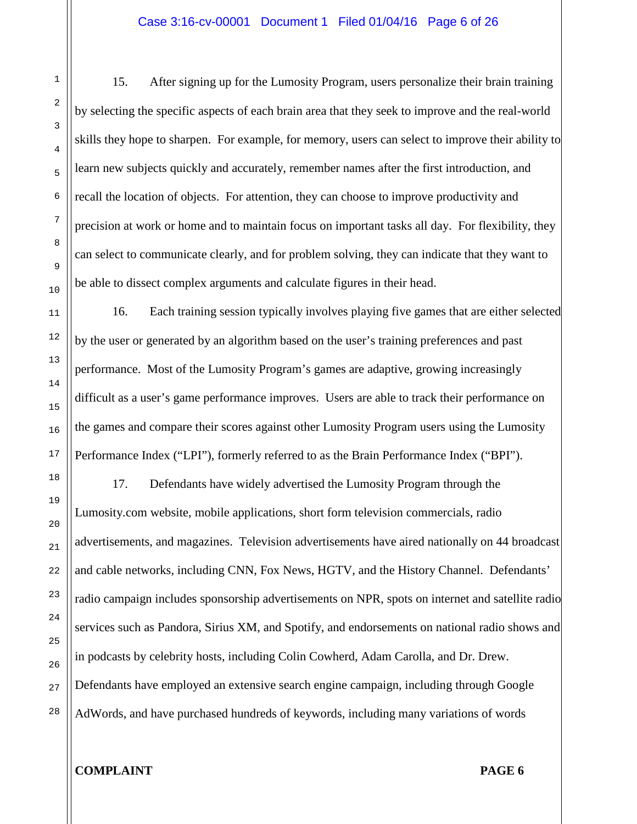15. After signing up for the Lumosity Program, users personalize their brain training by selecting the specific aspects of each brain area that they seek to improve and the real-world skills they hope to sharpen. For example, for memory, users can select to improve their ability to learn new subjects quickly and accurately, remember names after the first introduction, and recall the location of objects. For attention, they can choose to improve productivity and precision at work or home and to maintain focus on important tasks all day. For flexibility, they can select to communicate clearly, and for problem solving, they can indicate that they want to be able to dissect complex arguments and calculate figures in their head.

16. Each training session typically involves playing five games that are either selected by the user or generated by an algorithm based on the user's training preferences and past performance. Most of the Lumosity Program's games are adaptive, growing increasingly difficult as a user's game performance improves. Users are able to track their performance on the games and compare their scores against other Lumosity Program users using the Lumosity Performance Index ("LPI"), formerly referred to as the Brain Performance Index ("BPI").

17. Defendants have widely advertised the Lumosity Program through the Lumosity.com website, mobile applications, short form television commercials, radio advertisements, and magazines. Television advertisements have aired nationally on 44 broadcast and cable networks, including CNN, Fox News, HGTV, and the History Channel. Defendants' radio campaign includes sponsorship advertisements on NPR, spots on internet and satellite radio services such as Pandora, Sirius XM, and Spotify, and endorsements on national radio shows and in podcasts by celebrity hosts, including Colin Cowherd, Adam Carolla, and Dr. Drew. Defendants have employed an extensive search engine campaign, including through Google AdWords, and have purchased hundreds of keywords, including many variations of words

# **COMPLAINT PAGE 6**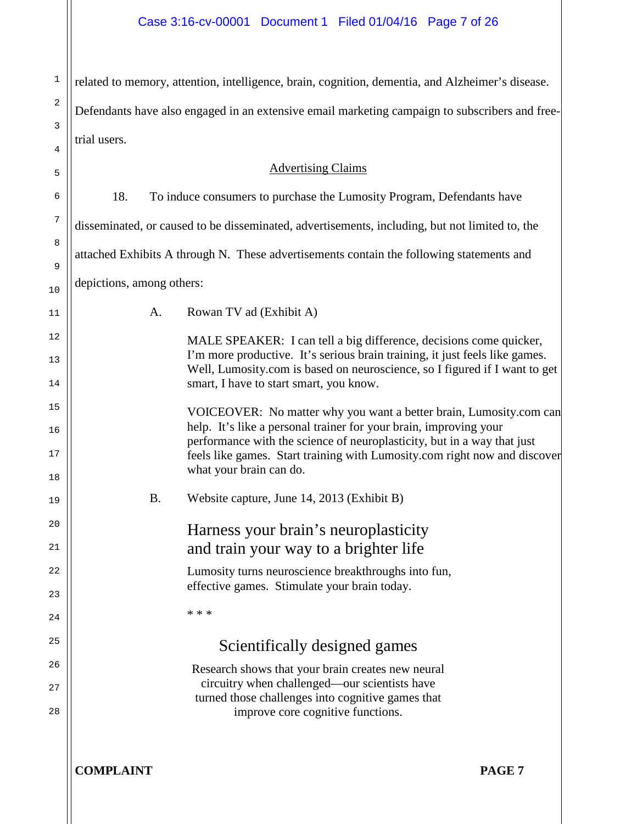| $\mathbf{1}$ | related to memory, attention, intelligence, brain, cognition, dementia, and Alzheimer's disease. |                                                                                                                                                                                                                           |  |
|--------------|--------------------------------------------------------------------------------------------------|---------------------------------------------------------------------------------------------------------------------------------------------------------------------------------------------------------------------------|--|
| 2            | Defendants have also engaged in an extensive email marketing campaign to subscribers and free-   |                                                                                                                                                                                                                           |  |
| 3            | trial users.                                                                                     |                                                                                                                                                                                                                           |  |
| 4            |                                                                                                  |                                                                                                                                                                                                                           |  |
| 5            |                                                                                                  | <b>Advertising Claims</b>                                                                                                                                                                                                 |  |
| 6            | 18.                                                                                              | To induce consumers to purchase the Lumosity Program, Defendants have                                                                                                                                                     |  |
| 7            |                                                                                                  | disseminated, or caused to be disseminated, advertisements, including, but not limited to, the                                                                                                                            |  |
| 8<br>9       |                                                                                                  | attached Exhibits A through N. These advertisements contain the following statements and                                                                                                                                  |  |
| 10           | depictions, among others:                                                                        |                                                                                                                                                                                                                           |  |
| 11           | Rowan TV ad (Exhibit A)<br>A.                                                                    |                                                                                                                                                                                                                           |  |
| 12           |                                                                                                  | MALE SPEAKER: I can tell a big difference, decisions come quicker,                                                                                                                                                        |  |
| 13           |                                                                                                  | I'm more productive. It's serious brain training, it just feels like games.<br>Well, Lumosity.com is based on neuroscience, so I figured if I want to get                                                                 |  |
| 14           |                                                                                                  | smart, I have to start smart, you know.                                                                                                                                                                                   |  |
| 15           |                                                                                                  | VOICEOVER: No matter why you want a better brain, Lumosity.com can                                                                                                                                                        |  |
| 16<br>17     |                                                                                                  | help. It's like a personal trainer for your brain, improving your<br>performance with the science of neuroplasticity, but in a way that just<br>feels like games. Start training with Lumosity.com right now and discover |  |
| 18           | what your brain can do.                                                                          |                                                                                                                                                                                                                           |  |
| 19           | <b>B.</b>                                                                                        | Website capture, June 14, 2013 (Exhibit B)                                                                                                                                                                                |  |
| 20           |                                                                                                  | Harness your brain's neuroplasticity                                                                                                                                                                                      |  |
| 21           |                                                                                                  | and train your way to a brighter life                                                                                                                                                                                     |  |
| 22           |                                                                                                  | Lumosity turns neuroscience breakthroughs into fun,<br>effective games. Stimulate your brain today.                                                                                                                       |  |
| 23           | * * *                                                                                            |                                                                                                                                                                                                                           |  |
| 24<br>25     |                                                                                                  |                                                                                                                                                                                                                           |  |
|              |                                                                                                  | Scientifically designed games                                                                                                                                                                                             |  |
| 26<br>27     |                                                                                                  | Research shows that your brain creates new neural<br>circuitry when challenged—our scientists have                                                                                                                        |  |
| 28           |                                                                                                  | turned those challenges into cognitive games that<br>improve core cognitive functions.                                                                                                                                    |  |
|              |                                                                                                  |                                                                                                                                                                                                                           |  |
|              | <b>COMPLAINT</b>                                                                                 | PAGE <sub>7</sub>                                                                                                                                                                                                         |  |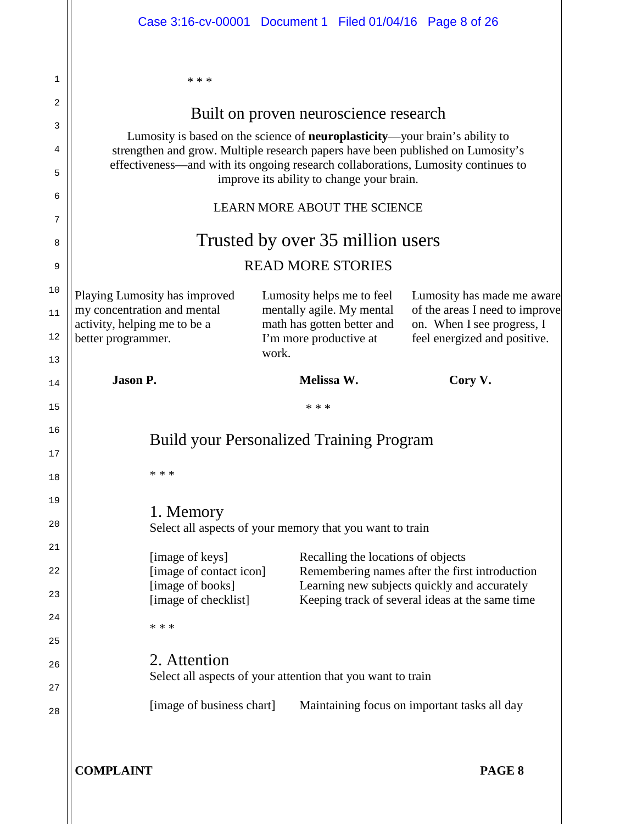|        | Case 3:16-cv-00001 Document 1 Filed 01/04/16 Page 8 of 26                                                                                                                                                                                                   |                                                               |                                    |                                                            |  |
|--------|-------------------------------------------------------------------------------------------------------------------------------------------------------------------------------------------------------------------------------------------------------------|---------------------------------------------------------------|------------------------------------|------------------------------------------------------------|--|
| 1      | * * *                                                                                                                                                                                                                                                       |                                                               |                                    |                                                            |  |
| 2      |                                                                                                                                                                                                                                                             | Built on proven neuroscience research                         |                                    |                                                            |  |
| 3      |                                                                                                                                                                                                                                                             |                                                               |                                    |                                                            |  |
| 4      | Lumosity is based on the science of <b>neuroplasticity</b> —your brain's ability to<br>strengthen and grow. Multiple research papers have been published on Lumosity's<br>effectiveness—and with its ongoing research collaborations, Lumosity continues to |                                                               |                                    |                                                            |  |
| 5      |                                                                                                                                                                                                                                                             | improve its ability to change your brain.                     |                                    |                                                            |  |
| 6<br>7 | <b>LEARN MORE ABOUT THE SCIENCE</b>                                                                                                                                                                                                                         |                                                               |                                    |                                                            |  |
| 8      | Trusted by over 35 million users                                                                                                                                                                                                                            |                                                               |                                    |                                                            |  |
| 9      | <b>READ MORE STORIES</b>                                                                                                                                                                                                                                    |                                                               |                                    |                                                            |  |
| 10     | Playing Lumosity has improved                                                                                                                                                                                                                               | Lumosity helps me to feel                                     |                                    | Lumosity has made me aware                                 |  |
| 11     | my concentration and mental                                                                                                                                                                                                                                 | mentally agile. My mental                                     |                                    | of the areas I need to improve                             |  |
| 12     | activity, helping me to be a<br>better programmer.                                                                                                                                                                                                          | math has gotten better and<br>I'm more productive at<br>work. |                                    | on. When I see progress, I<br>feel energized and positive. |  |
| 13     |                                                                                                                                                                                                                                                             |                                                               |                                    |                                                            |  |
|        | <b>Jason P.</b>                                                                                                                                                                                                                                             | Melissa W.                                                    |                                    | Cory V.                                                    |  |
| 14     |                                                                                                                                                                                                                                                             |                                                               |                                    |                                                            |  |
| 15     |                                                                                                                                                                                                                                                             | * * *                                                         |                                    |                                                            |  |
| 16     | <b>Build your Personalized Training Program</b>                                                                                                                                                                                                             |                                                               |                                    |                                                            |  |
| 17     |                                                                                                                                                                                                                                                             |                                                               |                                    |                                                            |  |
| 18     | * * *                                                                                                                                                                                                                                                       |                                                               |                                    |                                                            |  |
| 19     |                                                                                                                                                                                                                                                             |                                                               |                                    |                                                            |  |
| 20     | 1. Memory<br>Select all aspects of your memory that you want to train                                                                                                                                                                                       |                                                               |                                    |                                                            |  |
| 21     |                                                                                                                                                                                                                                                             |                                                               |                                    |                                                            |  |
| 22     | [image of keys]<br>[image of contact icon]                                                                                                                                                                                                                  |                                                               | Recalling the locations of objects | Remembering names after the first introduction             |  |
| 23     | [image of books]                                                                                                                                                                                                                                            |                                                               |                                    | Learning new subjects quickly and accurately               |  |
| 24     | [image of checklist]                                                                                                                                                                                                                                        |                                                               |                                    | Keeping track of several ideas at the same time            |  |
| 25     | * * *                                                                                                                                                                                                                                                       |                                                               |                                    |                                                            |  |
| 26     | 2. Attention                                                                                                                                                                                                                                                |                                                               |                                    |                                                            |  |
| 27     | Select all aspects of your attention that you want to train                                                                                                                                                                                                 |                                                               |                                    |                                                            |  |
| 28     | [image of business chart]                                                                                                                                                                                                                                   |                                                               |                                    | Maintaining focus on important tasks all day               |  |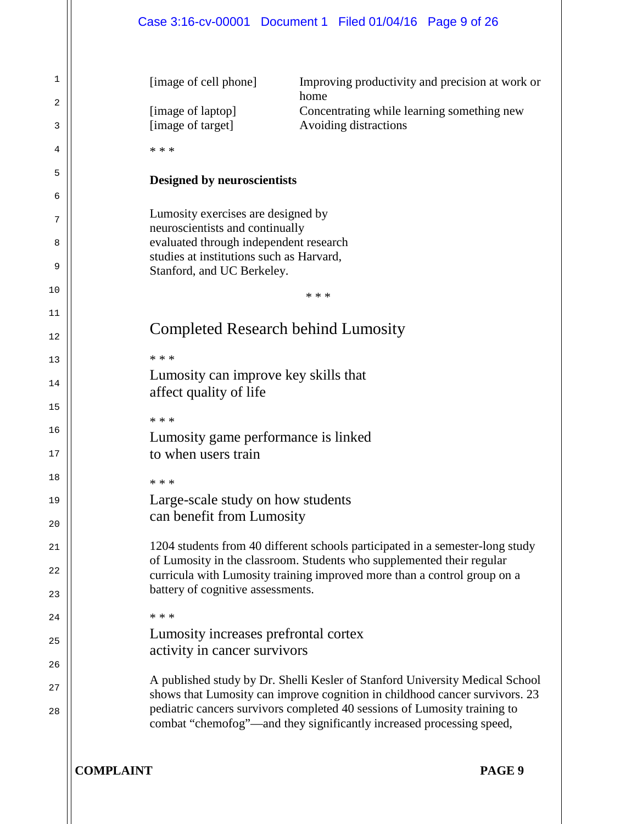|          |                                                                                    |  |       | Case 3:16-cv-00001 Document 1 Filed 01/04/16 Page 9 of 26             |                                                                                                                                                                                                                                  |
|----------|------------------------------------------------------------------------------------|--|-------|-----------------------------------------------------------------------|----------------------------------------------------------------------------------------------------------------------------------------------------------------------------------------------------------------------------------|
|          |                                                                                    |  |       |                                                                       |                                                                                                                                                                                                                                  |
| 1        | [image of cell phone]                                                              |  |       |                                                                       | Improving productivity and precision at work or                                                                                                                                                                                  |
| 2        | [image of laptop]                                                                  |  | home  |                                                                       | Concentrating while learning something new                                                                                                                                                                                       |
| 3        | [image of target]                                                                  |  |       | Avoiding distractions                                                 |                                                                                                                                                                                                                                  |
| 4        | * * *                                                                              |  |       |                                                                       |                                                                                                                                                                                                                                  |
| 5        | <b>Designed by neuroscientists</b>                                                 |  |       |                                                                       |                                                                                                                                                                                                                                  |
| 6        |                                                                                    |  |       |                                                                       |                                                                                                                                                                                                                                  |
| 7        | Lumosity exercises are designed by<br>neuroscientists and continually              |  |       |                                                                       |                                                                                                                                                                                                                                  |
| 8        | evaluated through independent research<br>studies at institutions such as Harvard, |  |       |                                                                       |                                                                                                                                                                                                                                  |
| 9        | Stanford, and UC Berkeley.                                                         |  |       |                                                                       |                                                                                                                                                                                                                                  |
| 10       |                                                                                    |  | * * * |                                                                       |                                                                                                                                                                                                                                  |
| 11<br>12 |                                                                                    |  |       | <b>Completed Research behind Lumosity</b>                             |                                                                                                                                                                                                                                  |
| 13       | * * *                                                                              |  |       |                                                                       |                                                                                                                                                                                                                                  |
| 14       | Lumosity can improve key skills that<br>affect quality of life                     |  |       |                                                                       |                                                                                                                                                                                                                                  |
| 15       | * * *                                                                              |  |       |                                                                       |                                                                                                                                                                                                                                  |
| 16       | Lumosity game performance is linked                                                |  |       |                                                                       |                                                                                                                                                                                                                                  |
| 17       | to when users train                                                                |  |       |                                                                       |                                                                                                                                                                                                                                  |
| 18       | * * *                                                                              |  |       |                                                                       |                                                                                                                                                                                                                                  |
| 19       | Large-scale study on how students                                                  |  |       |                                                                       |                                                                                                                                                                                                                                  |
| 20       | can benefit from Lumosity                                                          |  |       |                                                                       |                                                                                                                                                                                                                                  |
| 21       |                                                                                    |  |       | of Lumosity in the classroom. Students who supplemented their regular | 1204 students from 40 different schools participated in a semester-long study                                                                                                                                                    |
| 22       |                                                                                    |  |       |                                                                       | curricula with Lumosity training improved more than a control group on a                                                                                                                                                         |
| 23       | battery of cognitive assessments.                                                  |  |       |                                                                       |                                                                                                                                                                                                                                  |
| 24       | * * *<br>Lumosity increases prefrontal cortex                                      |  |       |                                                                       |                                                                                                                                                                                                                                  |
| 25       | activity in cancer survivors                                                       |  |       |                                                                       |                                                                                                                                                                                                                                  |
| 26       |                                                                                    |  |       |                                                                       | A published study by Dr. Shelli Kesler of Stanford University Medical School                                                                                                                                                     |
| 27<br>28 |                                                                                    |  |       |                                                                       | shows that Lumosity can improve cognition in childhood cancer survivors. 23<br>pediatric cancers survivors completed 40 sessions of Lumosity training to<br>combat "chemofog"-and they significantly increased processing speed, |
|          | <b>COMPLAINT</b>                                                                   |  |       |                                                                       | PAGE 9                                                                                                                                                                                                                           |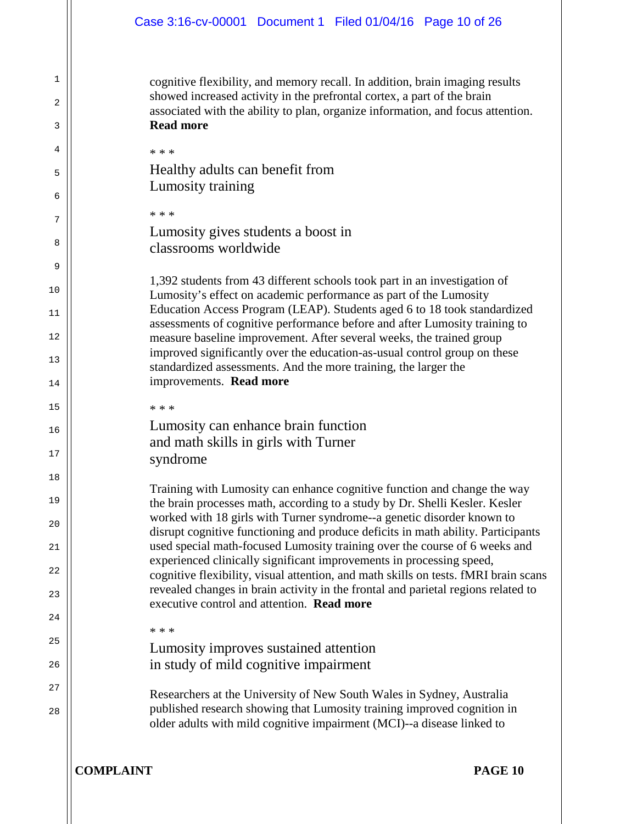cognitive flexibility, and memory recall. In addition, brain imaging results showed increased activity in the prefrontal cortex, a part of the brain associated with the ability to plan, organize information, and focus attention. **Read more**

**COMPLAINT PAGE 10** \* \* \* Healthy adults can benefit from Lumosity training \* \* \* Lumosity gives students a boost in classrooms worldwide 1,392 students from 43 different schools took part in an investigation of Lumosity's effect on academic performance as part of the Lumosity Education Access Program (LEAP). Students aged 6 to 18 took standardized assessments of cognitive performance before and after Lumosity training to measure baseline improvement. After several weeks, the trained group improved significantly over the education-as-usual control group on these standardized assessments. And the more training, the larger the improvements. **Read more** \* \* \* Lumosity can enhance brain function and math skills in girls with Turner syndrome Training with Lumosity can enhance cognitive function and change the way the brain processes math, according to a study by Dr. Shelli Kesler. Kesler worked with 18 girls with Turner syndrome--a genetic disorder known to disrupt cognitive functioning and produce deficits in math ability. Participants used special math-focused Lumosity training over the course of 6 weeks and experienced clinically significant improvements in processing speed, cognitive flexibility, visual attention, and math skills on tests. fMRI brain scans revealed changes in brain activity in the frontal and parietal regions related to executive control and attention. **Read more** \* \* \* Lumosity improves sustained attention in study of mild cognitive impairment Researchers at the University of New South Wales in Sydney, Australia published research showing that Lumosity training improved cognition in older adults with mild cognitive impairment (MCI)--a disease linked to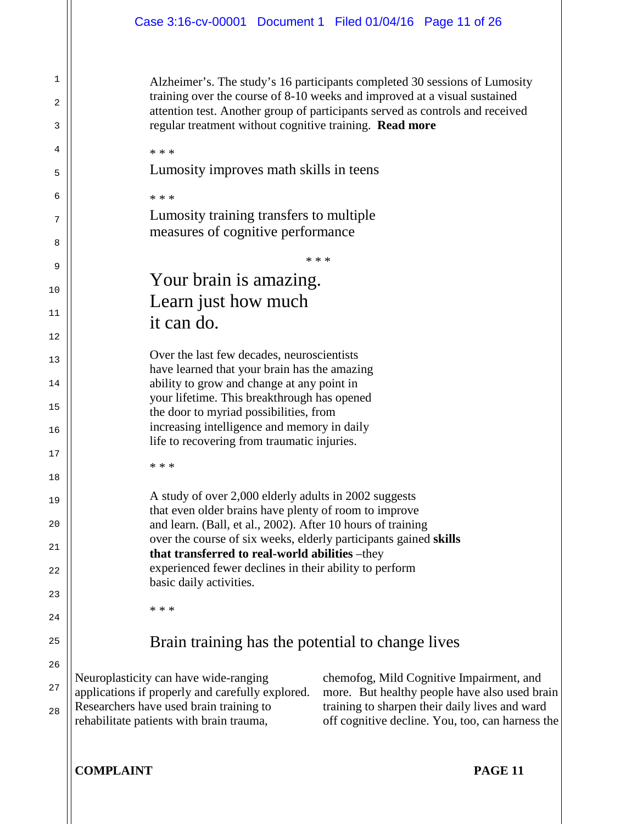\* \* \*

Alzheimer's. The study's 16 participants completed 30 sessions of Lumosity training over the course of 8-10 weeks and improved at a visual sustained attention test. Another group of participants served as controls and received regular treatment without cognitive training. **Read more**

Lumosity improves math skills in teens

Lumosity training transfers to multiple measures of cognitive performance

Your brain is amazing. Learn just how much it can do.

Over the last few decades, neuroscientists have learned that your brain has the amazing ability to grow and change at any point in your lifetime. This breakthrough has opened the door to myriad possibilities, from increasing intelligence and memory in daily life to recovering from traumatic injuries.

\* \* \*

\* \* \*

\* \* \*

1

2

3

4

5

6

7

8

9

10

11

12

13

14

15

16

17

18

19

 $20$ 

21

22

23

24

25

26

27

28

A study of over 2,000 elderly adults in 2002 suggests that even older brains have plenty of room to improve and learn. (Ball, et al., 2002). After 10 hours of training over the course of six weeks, elderly participants gained **skills that transferred to real-world abilities** –they experienced fewer declines in their ability to perform basic daily activities.

\* \* \*

Brain training has the potential to change lives

Neuroplasticity can have wide-ranging applications if properly and carefully explored. Researchers have used brain training to rehabilitate patients with brain trauma,

chemofog, Mild Cognitive Impairment, and more. But healthy people have also used brain training to sharpen their daily lives and ward off cognitive decline. You, too, can harness the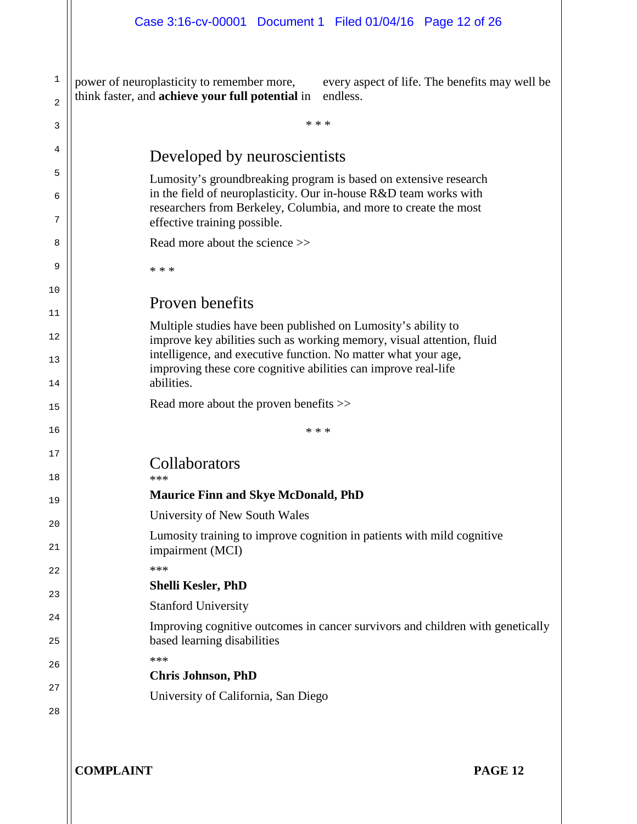power of neuroplasticity to remember more, every aspect of life. The benefits may well be think faster, and **achieve your full potential** in

1

| 2        | think faster, and <b>achieve your full potential</b> in<br>endless.                                                                    |
|----------|----------------------------------------------------------------------------------------------------------------------------------------|
| 3        | * * *                                                                                                                                  |
| 4        | Developed by neuroscientists                                                                                                           |
| 5        | Lumosity's groundbreaking program is based on extensive research                                                                       |
| 6        | in the field of neuroplasticity. Our in-house R&D team works with<br>researchers from Berkeley, Columbia, and more to create the most  |
| 7        | effective training possible.                                                                                                           |
| 8        | Read more about the science >>                                                                                                         |
| 9        | * * *                                                                                                                                  |
| 10       |                                                                                                                                        |
| 11       | Proven benefits                                                                                                                        |
| 12       | Multiple studies have been published on Lumosity's ability to<br>improve key abilities such as working memory, visual attention, fluid |
| 13       | intelligence, and executive function. No matter what your age,<br>improving these core cognitive abilities can improve real-life       |
| 14       | abilities.                                                                                                                             |
| 15       | Read more about the proven benefits >>                                                                                                 |
| 16       | * * *                                                                                                                                  |
| 17<br>18 | Collaborators<br>***                                                                                                                   |
| 19       | <b>Maurice Finn and Skye McDonald, PhD</b>                                                                                             |
|          | University of New South Wales                                                                                                          |
| 20<br>21 | Lumosity training to improve cognition in patients with mild cognitive<br>impairment (MCI)                                             |
| 22       | ***                                                                                                                                    |
| 23       | <b>Shelli Kesler, PhD</b>                                                                                                              |
|          | <b>Stanford University</b>                                                                                                             |
| 24<br>25 | Improving cognitive outcomes in cancer survivors and children with genetically<br>based learning disabilities                          |
|          | ***                                                                                                                                    |
| 26       | <b>Chris Johnson, PhD</b>                                                                                                              |
| 27       | University of California, San Diego                                                                                                    |
| 28       |                                                                                                                                        |
|          |                                                                                                                                        |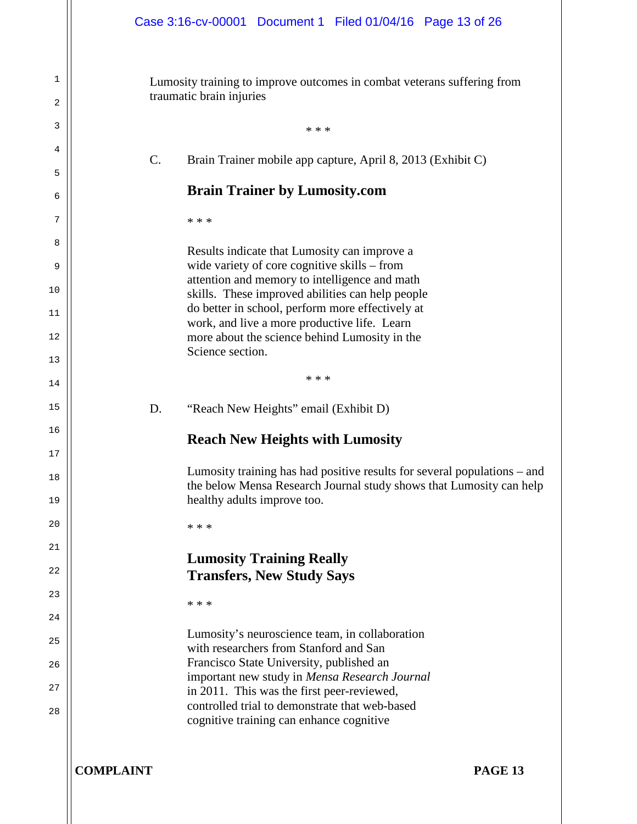Lumosity training to improve outcomes in combat veterans suffering from traumatic brain injuries

\* \* \* C. Brain Trainer mobile app capture, April 8, 2013 (Exhibit C) **Brain Trainer by Lumosity.com** \* \* \* Results indicate that Lumosity can improve a wide variety of core cognitive skills – from attention and memory to intelligence and math skills. These improved abilities can help people do better in school, perform more effectively at work, and live a more productive life. Learn more about the science behind Lumosity in the Science section. \* \* \* D. "Reach New Heights" email (Exhibit D) **Reach New Heights with Lumosity**

Lumosity training has had positive results for several populations – and the below Mensa Research Journal study shows that Lumosity can help healthy adults improve too.

\* \* \*

# **Lumosity Training Really Transfers, New Study Says**

\* \* \*

Lumosity's neuroscience team, in collaboration with researchers from Stanford and San Francisco State University, published an important new study in *Mensa Research Journal*  in 2011. This was the first peer-reviewed, controlled trial to demonstrate that web-based cognitive training can enhance cognitive

**COMPLAINT PAGE 13**

1

2

3

4

5

6

7

8

9

10

11

12

13

14

15

16

17

18

19

 $20$ 

21

22

23

24

25

26

27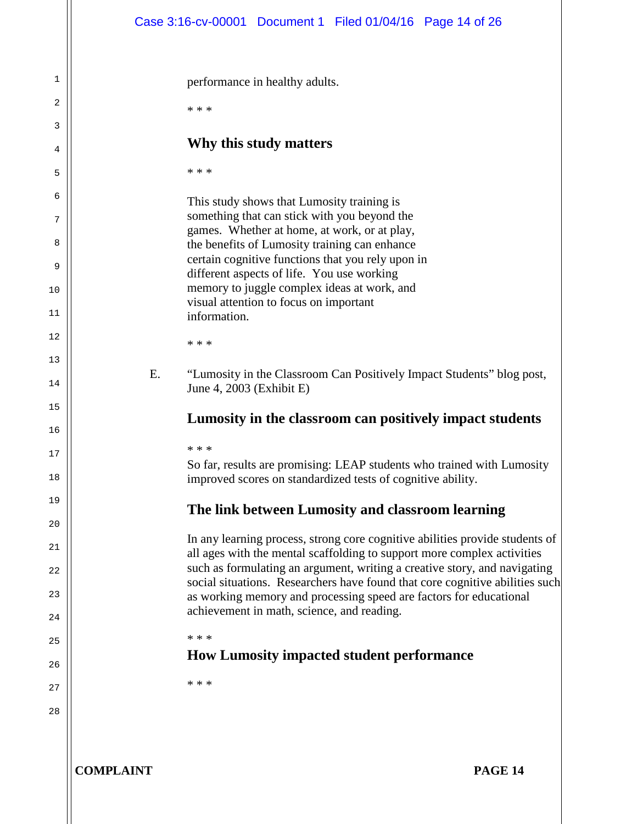performance in healthy adults.

\* \* \*

1

2

3

4

5

6

7

8

9

10

11

 $12$ 

13

14

15

16

17

18

19

 $20$ 

21

22

23

24

25

26

27

28

## **Why this study matters**

\* \* \*

This study shows that Lumosity training is something that can stick with you beyond the games. Whether at home, at work, or at play, the benefits of Lumosity training can enhance certain cognitive functions that you rely upon in different aspects of life. You use working memory to juggle complex ideas at work, and visual attention to focus on important information.

\* \* \*

E. "Lumosity in the Classroom Can Positively Impact Students" blog post, June 4, 2003 (Exhibit E)

# **Lumosity in the classroom can positively impact students**

#### \* \* \*

So far, results are promising: LEAP students who trained with Lumosity improved scores on standardized tests of cognitive ability.

# **The link between Lumosity and classroom learning**

In any learning process, strong core cognitive abilities provide students of all ages with the mental scaffolding to support more complex activities such as formulating an argument, writing a creative story, and navigating social situations. Researchers have found that core cognitive abilities such as working memory and processing speed are factors for educational achievement in math, science, and reading.

#### \* \* \*

# **How Lumosity impacted student performance**

\* \* \*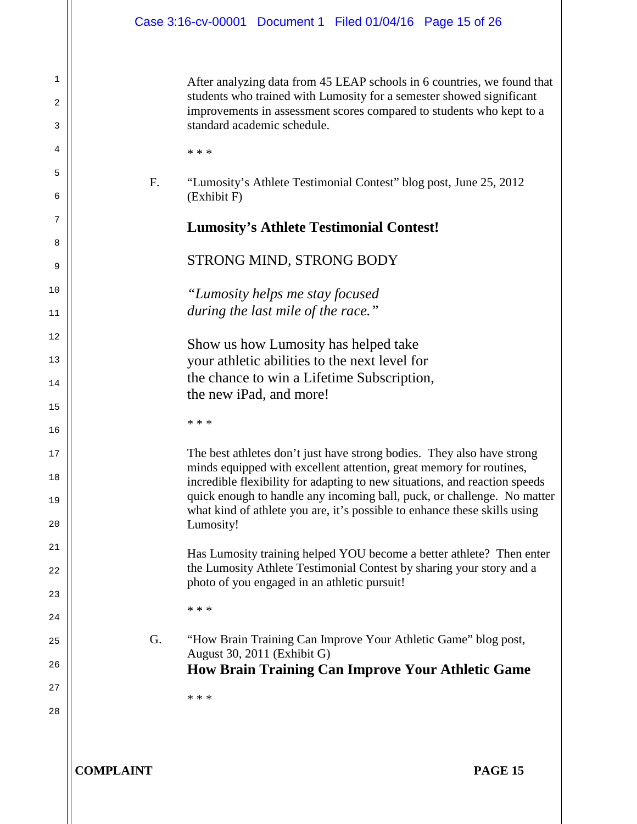After analyzing data from 45 LEAP schools in 6 countries, we found that students who trained with Lumosity for a semester showed significant improvements in assessment scores compared to students who kept to a standard academic schedule.

\* \* \*

1

2

3

4

5

6

7

8

9

10

11

 $12$ 

13

14

15

16

17

18

19

 $20$ 

21

22

23

24

25

26

27

28

F. "Lumosity's Athlete Testimonial Contest" blog post, June 25, 2012 (Exhibit F)

## **Lumosity's Athlete Testimonial Contest!**

## STRONG MIND, STRONG BODY

*"Lumosity helps me stay focused during the last mile of the race."*

Show us how Lumosity has helped take your athletic abilities to the next level for the chance to win a Lifetime Subscription, the new iPad, and more!

\* \* \*

The best athletes don't just have strong bodies. They also have strong minds equipped with excellent attention, great memory for routines, incredible flexibility for adapting to new situations, and reaction speeds quick enough to handle any incoming ball, puck, or challenge. No matter what kind of athlete you are, it's possible to enhance these skills using Lumosity!

Has Lumosity training helped YOU become a better athlete? Then enter the Lumosity Athlete Testimonial Contest by sharing your story and a photo of you engaged in an athletic pursuit!

\* \* \*

G. "How Brain Training Can Improve Your Athletic Game" blog post, August 30, 2011 (Exhibit G) **How Brain Training Can Improve Your Athletic Game**

\* \* \*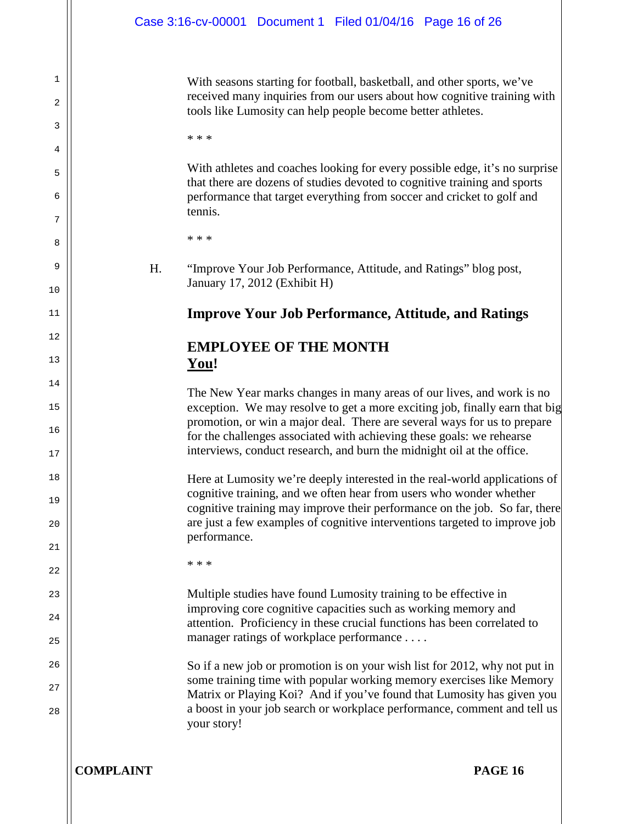With seasons starting for football, basketball, and other sports, we've received many inquiries from our users about how cognitive training with tools like Lumosity can help people become better athletes.

\* \* \*

1

2

3

4

5

6

7

8

9

10

11

 $12$ 

13

14

15

16

17

18

19

 $20$ 

21

22

23

24

25

26

27

28

With athletes and coaches looking for every possible edge, it's no surprise that there are dozens of studies devoted to cognitive training and sports performance that target everything from soccer and cricket to golf and tennis.

\* \* \*

H. "Improve Your Job Performance, Attitude, and Ratings" blog post, January 17, 2012 (Exhibit H)

# **Improve Your Job Performance, Attitude, and Ratings**

# **EMPLOYEE OF THE MONTH You!**

The New Year marks changes in many areas of our lives, and work is no exception. We may resolve to get a more exciting job, finally earn that big promotion, or win a major deal. There are several ways for us to prepare for the challenges associated with achieving these goals: we rehearse interviews, conduct research, and burn the midnight oil at the office.

Here at Lumosity we're deeply interested in the real-world applications of cognitive training, and we often hear from users who wonder whether cognitive training may improve their performance on the job. So far, there are just a few examples of cognitive interventions targeted to improve job performance.

\* \* \*

Multiple studies have found Lumosity training to be effective in improving core cognitive capacities such as working memory and attention. Proficiency in these crucial functions has been correlated to manager ratings of workplace performance . . . .

So if a new job or promotion is on your wish list for 2012, why not put in some training time with popular working memory exercises like Memory Matrix or Playing Koi? And if you've found that Lumosity has given you a boost in your job search or workplace performance, comment and tell us your story!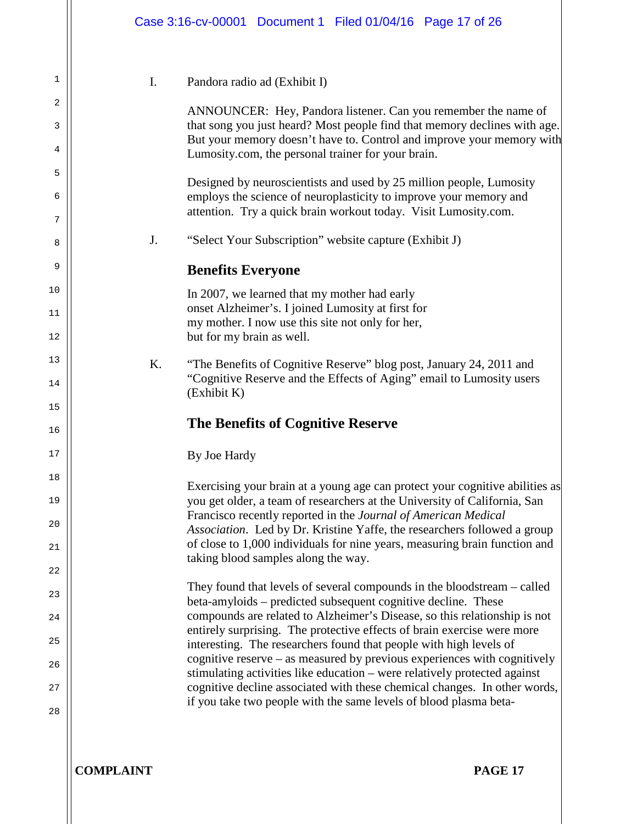1 2 3 4 5 6 7 8 9 10 11 12 13 14 15 16 17 18 19  $20$ 21 22 23 24 25 26 27 28 I. Pandora radio ad (Exhibit I) ANNOUNCER: Hey, Pandora listener. Can you remember the name of that song you just heard? Most people find that memory declines with age. But your memory doesn't have to. Control and improve your memory with Lumosity.com, the personal trainer for your brain. Designed by neuroscientists and used by 25 million people, Lumosity employs the science of neuroplasticity to improve your memory and attention. Try a quick brain workout today. Visit Lumosity.com. J. "Select Your Subscription" website capture (Exhibit J) **Benefits Everyone** In 2007, we learned that my mother had early onset Alzheimer's. I joined Lumosity at first for my mother. I now use this site not only for her, but for my brain as well. K. "The Benefits of Cognitive Reserve" blog post, January 24, 2011 and "Cognitive Reserve and the Effects of Aging" email to Lumosity users (Exhibit K) **The Benefits of Cognitive Reserve** By Joe Hardy Exercising your brain at a young age can protect your cognitive abilities as you get older, a team of researchers at the University of California, San Francisco recently reported in the *Journal of American Medical Association*. Led by Dr. Kristine Yaffe, the researchers followed a group of close to 1,000 individuals for nine years, measuring brain function and taking blood samples along the way. They found that levels of several compounds in the bloodstream – called beta-amyloids – predicted subsequent cognitive decline. These compounds are related to Alzheimer's Disease, so this relationship is not entirely surprising. The protective effects of brain exercise were more interesting. The researchers found that people with high levels of cognitive reserve – as measured by previous experiences with cognitively stimulating activities like education – were relatively protected against cognitive decline associated with these chemical changes. In other words, if you take two people with the same levels of blood plasma beta-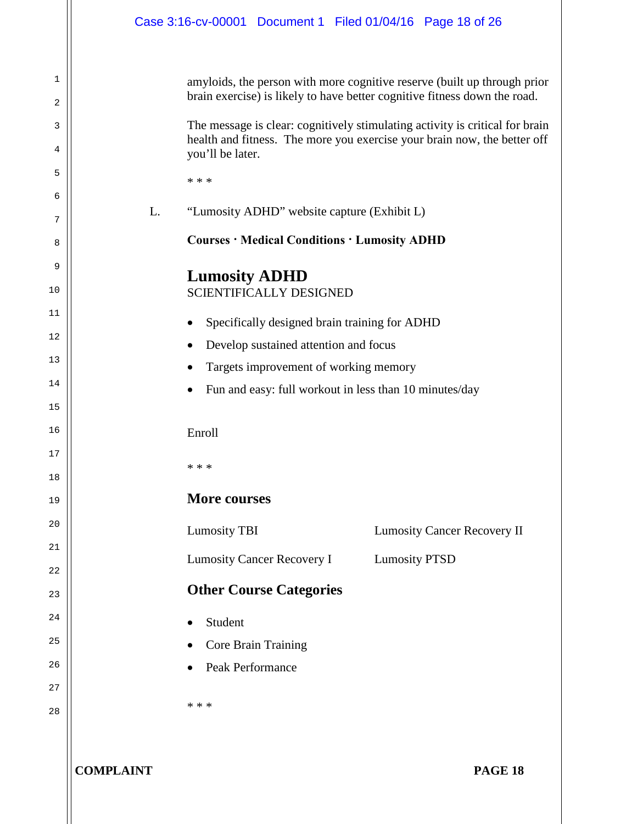| Case 3:16-cv-00001 Document 1 Filed 01/04/16 Page 18 of 26               |                                                                         |                                                                                                                                                  |                                                                                                                                                                                                                                                                                                                   |
|--------------------------------------------------------------------------|-------------------------------------------------------------------------|--------------------------------------------------------------------------------------------------------------------------------------------------|-------------------------------------------------------------------------------------------------------------------------------------------------------------------------------------------------------------------------------------------------------------------------------------------------------------------|
| you'll be later.                                                         |                                                                         |                                                                                                                                                  | amyloids, the person with more cognitive reserve (built up through prior<br>brain exercise) is likely to have better cognitive fitness down the road.<br>The message is clear: cognitively stimulating activity is critical for brain<br>health and fitness. The more you exercise your brain now, the better off |
| * * *<br>L.                                                              |                                                                         | "Lumosity ADHD" website capture (Exhibit L)<br><b>Courses · Medical Conditions · Lumosity ADHD</b>                                               |                                                                                                                                                                                                                                                                                                                   |
| <b>Lumosity ADHD</b><br>$\bullet$<br>$\bullet$<br>$\bullet$<br>$\bullet$ | <b>SCIENTIFICALLY DESIGNED</b><br>Develop sustained attention and focus | Specifically designed brain training for ADHD<br>Targets improvement of working memory<br>Fun and easy: full workout in less than 10 minutes/day |                                                                                                                                                                                                                                                                                                                   |
| Enroll<br>* * *                                                          |                                                                         |                                                                                                                                                  |                                                                                                                                                                                                                                                                                                                   |
| <b>More courses</b>                                                      |                                                                         |                                                                                                                                                  |                                                                                                                                                                                                                                                                                                                   |
| <b>Lumosity TBI</b>                                                      |                                                                         |                                                                                                                                                  | <b>Lumosity Cancer Recovery II</b>                                                                                                                                                                                                                                                                                |
|                                                                          | <b>Lumosity Cancer Recovery I</b>                                       | <b>Lumosity PTSD</b>                                                                                                                             |                                                                                                                                                                                                                                                                                                                   |
|                                                                          | <b>Other Course Categories</b>                                          |                                                                                                                                                  |                                                                                                                                                                                                                                                                                                                   |
| Student<br>Peak Performance<br>* * *                                     | Core Brain Training                                                     |                                                                                                                                                  |                                                                                                                                                                                                                                                                                                                   |

**COMPLAINT PAGE 18**

1

2

3

4

5

6

7

8

9

10

11

12

13

14

15

16

17

18

19

20

21

22

23

24

25

26

27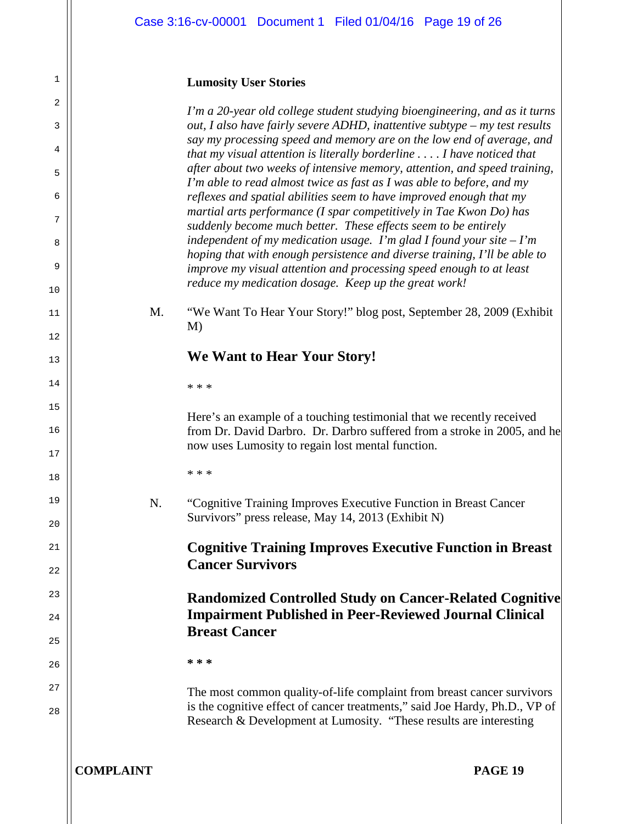#### **Lumosity User Stories**

1

2

3

4

5

6

7

8

9

10

11

12

13

14

15

16

17

18

19

 $20$ 

21

22

23

24

25

26

27

28

*I'm a 20-year old college student studying bioengineering, and as it turns out, I also have fairly severe ADHD, inattentive subtype – my test results say my processing speed and memory are on the low end of average, and that my visual attention is literally borderline . . . . I have noticed that after about two weeks of intensive memory, attention, and speed training, I'm able to read almost twice as fast as I was able to before, and my reflexes and spatial abilities seem to have improved enough that my martial arts performance (I spar competitively in Tae Kwon Do) has suddenly become much better. These effects seem to be entirely independent of my medication usage. I'm glad I found your site – I'm hoping that with enough persistence and diverse training, I'll be able to improve my visual attention and processing speed enough to at least reduce my medication dosage. Keep up the great work!*

M. "We Want To Hear Your Story!" blog post, September 28, 2009 (Exhibit M)

# **We Want to Hear Your Story!**

\* \* \*

Here's an example of a touching testimonial that we recently received from Dr. David Darbro. Dr. Darbro suffered from a stroke in 2005, and he now uses Lumosity to regain lost mental function.

\* \* \*

N. "Cognitive Training Improves Executive Function in Breast Cancer Survivors" press release, May 14, 2013 (Exhibit N)

> **Cognitive Training Improves Executive Function in Breast Cancer Survivors**

**Randomized Controlled Study on Cancer-Related Cognitive Impairment Published in Peer-Reviewed Journal Clinical Breast Cancer**

**\* \* \***

The most common quality-of-life complaint from breast cancer survivors is the cognitive effect of cancer treatments," said Joe Hardy, Ph.D., VP of Research & Development at Lumosity. "These results are interesting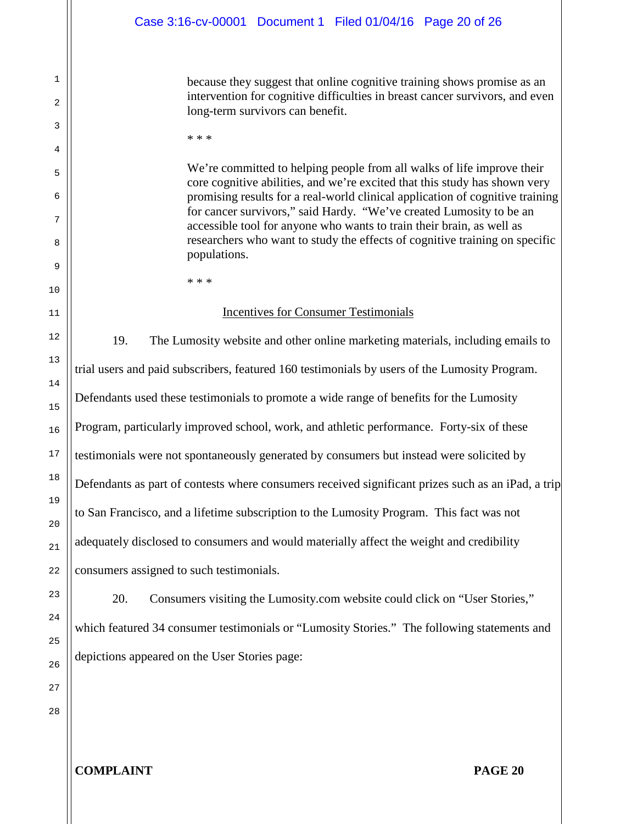because they suggest that online cognitive training shows promise as an intervention for cognitive difficulties in breast cancer survivors, and even long-term survivors can benefit.

\* \* \*

We're committed to helping people from all walks of life improve their core cognitive abilities, and we're excited that this study has shown very promising results for a real-world clinical application of cognitive training for cancer survivors," said Hardy. "We've created Lumosity to be an accessible tool for anyone who wants to train their brain, as well as researchers who want to study the effects of cognitive training on specific populations.

\* \* \*

#### Incentives for Consumer Testimonials

19. The Lumosity website and other online marketing materials, including emails to trial users and paid subscribers, featured 160 testimonials by users of the Lumosity Program. Defendants used these testimonials to promote a wide range of benefits for the Lumosity Program, particularly improved school, work, and athletic performance. Forty-six of these testimonials were not spontaneously generated by consumers but instead were solicited by Defendants as part of contests where consumers received significant prizes such as an iPad, a trip to San Francisco, and a lifetime subscription to the Lumosity Program. This fact was not adequately disclosed to consumers and would materially affect the weight and credibility consumers assigned to such testimonials.

20. Consumers visiting the Lumosity.com website could click on "User Stories," which featured 34 consumer testimonials or "Lumosity Stories." The following statements and depictions appeared on the User Stories page:

26 27 28

1

2

3

4

5

6

7

8

9

10

11

12

13

14

15

16

17

18

19

20

21

22

23

24

25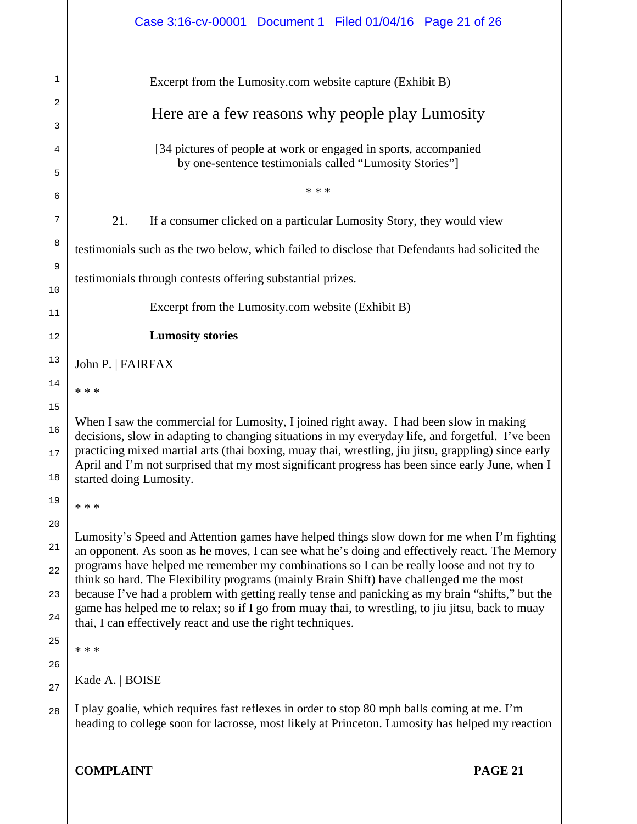|                | Case 3:16-cv-00001 Document 1 Filed 01/04/16 Page 21 of 26                                                                                                                                                                                                                                                                            |  |  |  |
|----------------|---------------------------------------------------------------------------------------------------------------------------------------------------------------------------------------------------------------------------------------------------------------------------------------------------------------------------------------|--|--|--|
| 1              | Excerpt from the Lumosity.com website capture (Exhibit B)                                                                                                                                                                                                                                                                             |  |  |  |
| 2              | Here are a few reasons why people play Lumosity                                                                                                                                                                                                                                                                                       |  |  |  |
| 3              |                                                                                                                                                                                                                                                                                                                                       |  |  |  |
| 4              | [34 pictures of people at work or engaged in sports, accompanied<br>by one-sentence testimonials called "Lumosity Stories"]                                                                                                                                                                                                           |  |  |  |
| 5<br>6         | * * *                                                                                                                                                                                                                                                                                                                                 |  |  |  |
| 7              | 21.<br>If a consumer clicked on a particular Lumosity Story, they would view                                                                                                                                                                                                                                                          |  |  |  |
| 8              | testimonials such as the two below, which failed to disclose that Defendants had solicited the                                                                                                                                                                                                                                        |  |  |  |
| 9              | testimonials through contests offering substantial prizes.                                                                                                                                                                                                                                                                            |  |  |  |
| 10<br>11       | Excerpt from the Lumosity.com website (Exhibit B)                                                                                                                                                                                                                                                                                     |  |  |  |
| 12             | <b>Lumosity stories</b>                                                                                                                                                                                                                                                                                                               |  |  |  |
| 13             | John P.   FAIRFAX                                                                                                                                                                                                                                                                                                                     |  |  |  |
| 14             | * * *                                                                                                                                                                                                                                                                                                                                 |  |  |  |
| 15             | When I saw the commercial for Lumosity, I joined right away. I had been slow in making                                                                                                                                                                                                                                                |  |  |  |
| 16<br>17<br>18 | decisions, slow in adapting to changing situations in my everyday life, and forgetful. I've been<br>practicing mixed martial arts (thai boxing, muay thai, wrestling, jiu jitsu, grappling) since early<br>April and I'm not surprised that my most significant progress has been since early June, when I<br>started doing Lumosity. |  |  |  |
| 19             | * * *                                                                                                                                                                                                                                                                                                                                 |  |  |  |
| 20             |                                                                                                                                                                                                                                                                                                                                       |  |  |  |
| 21             | Lumosity's Speed and Attention games have helped things slow down for me when I'm fighting<br>an opponent. As soon as he moves, I can see what he's doing and effectively react. The Memory                                                                                                                                           |  |  |  |
| 22             | programs have helped me remember my combinations so I can be really loose and not try to<br>think so hard. The Flexibility programs (mainly Brain Shift) have challenged me the most                                                                                                                                                  |  |  |  |
| 23             | because I've had a problem with getting really tense and panicking as my brain "shifts," but the<br>game has helped me to relax; so if I go from muay thai, to wrestling, to jiu jitsu, back to muay                                                                                                                                  |  |  |  |
| 24             | thai, I can effectively react and use the right techniques.                                                                                                                                                                                                                                                                           |  |  |  |
| 25             | * * *                                                                                                                                                                                                                                                                                                                                 |  |  |  |
| 26<br>27       | Kade A.   BOISE                                                                                                                                                                                                                                                                                                                       |  |  |  |
| 28             | I play goalie, which requires fast reflexes in order to stop 80 mph balls coming at me. I'm                                                                                                                                                                                                                                           |  |  |  |
|                | heading to college soon for lacrosse, most likely at Princeton. Lumosity has helped my reaction                                                                                                                                                                                                                                       |  |  |  |
|                | <b>COMPLAINT</b><br><b>PAGE 21</b>                                                                                                                                                                                                                                                                                                    |  |  |  |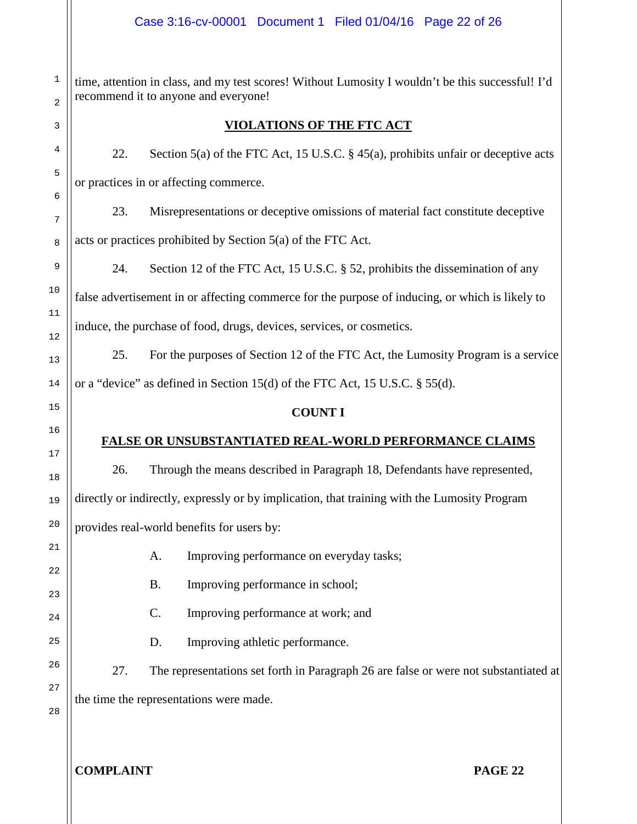time, attention in class, and my test scores! Without Lumosity I wouldn't be this successful! I'd recommend it to anyone and everyone!

# **VIOLATIONS OF THE FTC ACT**

22. Section 5(a) of the FTC Act, 15 U.S.C.  $\S$  45(a), prohibits unfair or deceptive acts or practices in or affecting commerce.

23. Misrepresentations or deceptive omissions of material fact constitute deceptive acts or practices prohibited by Section 5(a) of the FTC Act.

24. Section 12 of the FTC Act, 15 U.S.C. § 52, prohibits the dissemination of any false advertisement in or affecting commerce for the purpose of inducing, or which is likely to induce, the purchase of food, drugs, devices, services, or cosmetics.

25. For the purposes of Section 12 of the FTC Act, the Lumosity Program is a service or a "device" as defined in Section 15(d) of the FTC Act, 15 U.S.C. § 55(d).

## **COUNT I**

# **FALSE OR UNSUBSTANTIATED REAL-WORLD PERFORMANCE CLAIMS**

26. Through the means described in Paragraph 18, Defendants have represented, directly or indirectly, expressly or by implication, that training with the Lumosity Program provides real-world benefits for users by:

- A. Improving performance on everyday tasks;
- B. Improving performance in school;
- C. Improving performance at work; and
- D. Improving athletic performance.

27. The representations set forth in Paragraph 26 are false or were not substantiated at the time the representations were made.

28

1

2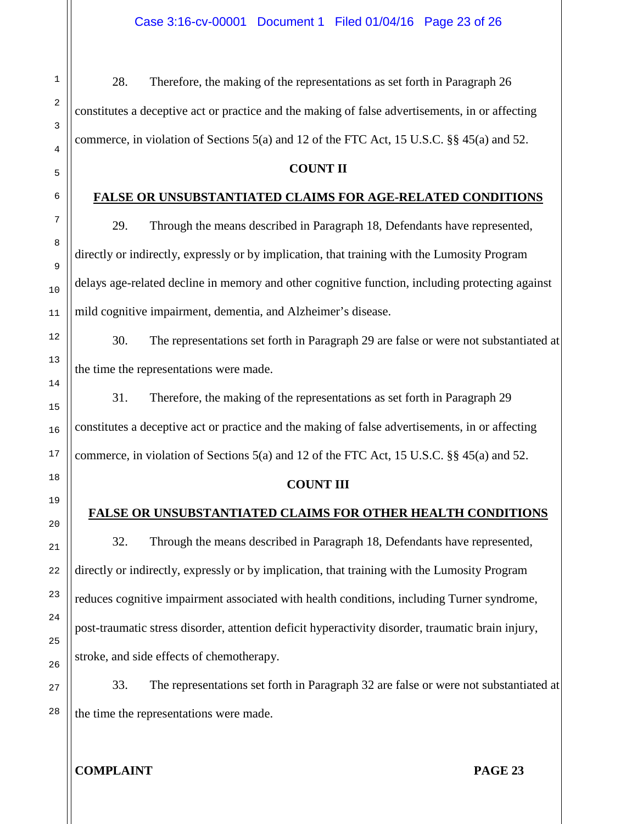28. Therefore, the making of the representations as set forth in Paragraph 26 constitutes a deceptive act or practice and the making of false advertisements, in or affecting commerce, in violation of Sections  $5(a)$  and 12 of the FTC Act, 15 U.S.C. §§ 45(a) and 52.

## **COUNT II**

## **FALSE OR UNSUBSTANTIATED CLAIMS FOR AGE-RELATED CONDITIONS**

29. Through the means described in Paragraph 18, Defendants have represented, directly or indirectly, expressly or by implication, that training with the Lumosity Program delays age-related decline in memory and other cognitive function, including protecting against mild cognitive impairment, dementia, and Alzheimer's disease.

30. The representations set forth in Paragraph 29 are false or were not substantiated at the time the representations were made.

31. Therefore, the making of the representations as set forth in Paragraph 29 constitutes a deceptive act or practice and the making of false advertisements, in or affecting commerce, in violation of Sections  $5(a)$  and 12 of the FTC Act, 15 U.S.C. §§ 45(a) and 52.

## **COUNT III**

## **FALSE OR UNSUBSTANTIATED CLAIMS FOR OTHER HEALTH CONDITIONS**

32. Through the means described in Paragraph 18, Defendants have represented, directly or indirectly, expressly or by implication, that training with the Lumosity Program reduces cognitive impairment associated with health conditions, including Turner syndrome, post-traumatic stress disorder, attention deficit hyperactivity disorder, traumatic brain injury, stroke, and side effects of chemotherapy.

33. The representations set forth in Paragraph 32 are false or were not substantiated at the time the representations were made.

# **COMPLAINT PAGE 23**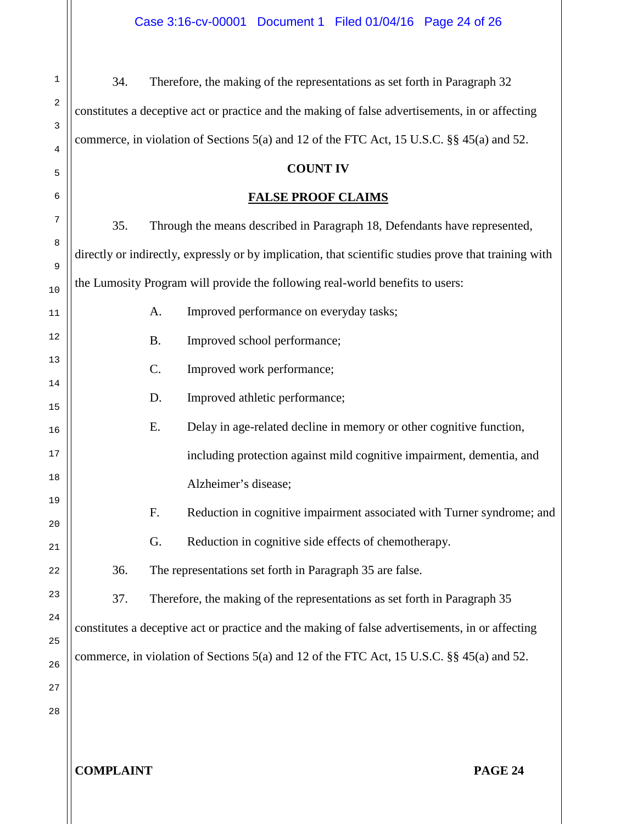1 2 3 4 5 6 7 8 9 10 11 12 13 14 15 16 17 18 19 20 21 22 23 24 25 26 27 28 34. Therefore, the making of the representations as set forth in Paragraph 32 constitutes a deceptive act or practice and the making of false advertisements, in or affecting commerce, in violation of Sections 5(a) and 12 of the FTC Act, 15 U.S.C. §§ 45(a) and 52. **COUNT IV FALSE PROOF CLAIMS** 35. Through the means described in Paragraph 18, Defendants have represented, directly or indirectly, expressly or by implication, that scientific studies prove that training with the Lumosity Program will provide the following real-world benefits to users: A. Improved performance on everyday tasks; B. Improved school performance; C. Improved work performance; D. Improved athletic performance; E. Delay in age-related decline in memory or other cognitive function, including protection against mild cognitive impairment, dementia, and Alzheimer's disease; F. Reduction in cognitive impairment associated with Turner syndrome; and G. Reduction in cognitive side effects of chemotherapy. 36. The representations set forth in Paragraph 35 are false. 37. Therefore, the making of the representations as set forth in Paragraph 35 constitutes a deceptive act or practice and the making of false advertisements, in or affecting commerce, in violation of Sections 5(a) and 12 of the FTC Act, 15 U.S.C. §§ 45(a) and 52.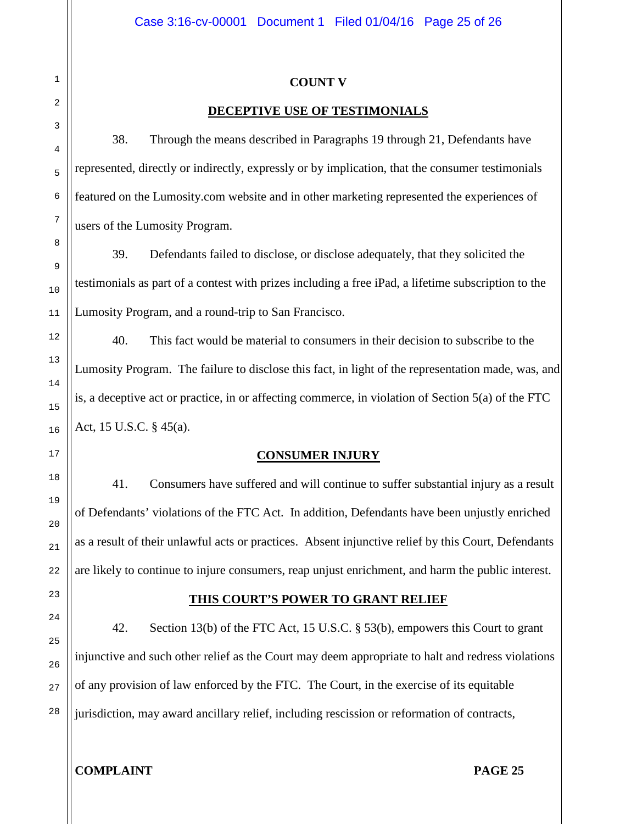### **COUNT V**

## **DECEPTIVE USE OF TESTIMONIALS**

38. Through the means described in Paragraphs 19 through 21, Defendants have represented, directly or indirectly, expressly or by implication, that the consumer testimonials featured on the Lumosity.com website and in other marketing represented the experiences of users of the Lumosity Program.

39. Defendants failed to disclose, or disclose adequately, that they solicited the testimonials as part of a contest with prizes including a free iPad, a lifetime subscription to the Lumosity Program, and a round-trip to San Francisco.

40. This fact would be material to consumers in their decision to subscribe to the Lumosity Program. The failure to disclose this fact, in light of the representation made, was, and is, a deceptive act or practice, in or affecting commerce, in violation of Section 5(a) of the FTC Act, 15 U.S.C. § 45(a).

## **CONSUMER INJURY**

41. Consumers have suffered and will continue to suffer substantial injury as a result of Defendants' violations of the FTC Act. In addition, Defendants have been unjustly enriched as a result of their unlawful acts or practices. Absent injunctive relief by this Court, Defendants are likely to continue to injure consumers, reap unjust enrichment, and harm the public interest.

#### **THIS COURT'S POWER TO GRANT RELIEF**

42. Section 13(b) of the FTC Act, 15 U.S.C. § 53(b), empowers this Court to grant injunctive and such other relief as the Court may deem appropriate to halt and redress violations of any provision of law enforced by the FTC. The Court, in the exercise of its equitable jurisdiction, may award ancillary relief, including rescission or reformation of contracts,